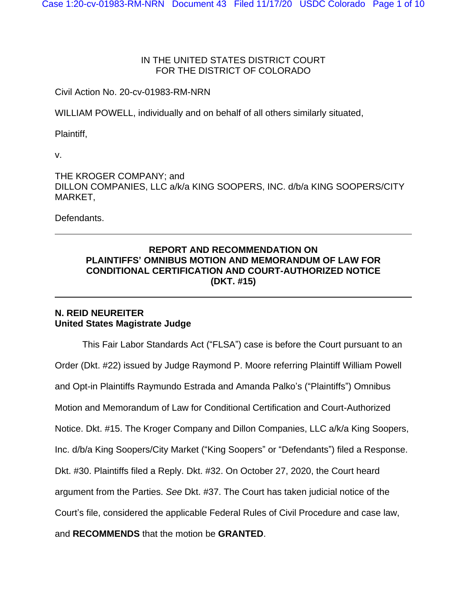# IN THE UNITED STATES DISTRICT COURT FOR THE DISTRICT OF COLORADO

Civil Action No. 20-cv-01983-RM-NRN

WILLIAM POWELL, individually and on behalf of all others similarly situated,

Plaintiff,

v.

THE KROGER COMPANY; and DILLON COMPANIES, LLC a/k/a KING SOOPERS, INC. d/b/a KING SOOPERS/CITY MARKET,

Defendants.

# **REPORT AND RECOMMENDATION ON PLAINTIFFS' OMNIBUS MOTION AND MEMORANDUM OF LAW FOR CONDITIONAL CERTIFICATION AND COURT-AUTHORIZED NOTICE (DKT. #15)**

# **N. REID NEUREITER United States Magistrate Judge**

This Fair Labor Standards Act ("FLSA") case is before the Court pursuant to an Order (Dkt. #22) issued by Judge Raymond P. Moore referring Plaintiff William Powell and Opt-in Plaintiffs Raymundo Estrada and Amanda Palko's ("Plaintiffs") Omnibus Motion and Memorandum of Law for Conditional Certification and Court-Authorized Notice. Dkt. #15. The Kroger Company and Dillon Companies, LLC a/k/a King Soopers, Inc. d/b/a King Soopers/City Market ("King Soopers" or "Defendants") filed a Response. Dkt. #30. Plaintiffs filed a Reply. Dkt. #32. On October 27, 2020, the Court heard argument from the Parties. *See* Dkt. #37. The Court has taken judicial notice of the Court's file, considered the applicable Federal Rules of Civil Procedure and case law, and **RECOMMENDS** that the motion be **GRANTED**.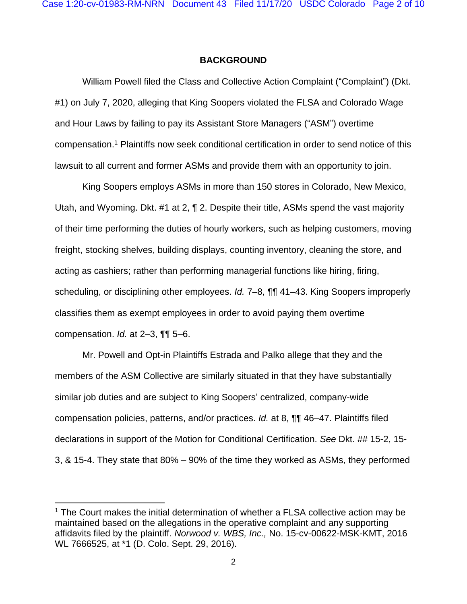#### **BACKGROUND**

William Powell filed the Class and Collective Action Complaint ("Complaint") (Dkt. #1) on July 7, 2020, alleging that King Soopers violated the FLSA and Colorado Wage and Hour Laws by failing to pay its Assistant Store Managers ("ASM") overtime compensation.<sup>1</sup> Plaintiffs now seek conditional certification in order to send notice of this lawsuit to all current and former ASMs and provide them with an opportunity to join.

King Soopers employs ASMs in more than 150 stores in Colorado, New Mexico, Utah, and Wyoming. Dkt. #1 at 2, ¶ 2. Despite their title, ASMs spend the vast majority of their time performing the duties of hourly workers, such as helping customers, moving freight, stocking shelves, building displays, counting inventory, cleaning the store, and acting as cashiers; rather than performing managerial functions like hiring, firing, scheduling, or disciplining other employees. *Id.* 7–8, ¶¶ 41–43. King Soopers improperly classifies them as exempt employees in order to avoid paying them overtime compensation. *Id.* at 2–3, ¶¶ 5–6.

Mr. Powell and Opt-in Plaintiffs Estrada and Palko allege that they and the members of the ASM Collective are similarly situated in that they have substantially similar job duties and are subject to King Soopers' centralized, company-wide compensation policies, patterns, and/or practices. *Id.* at 8, ¶¶ 46–47. Plaintiffs filed declarations in support of the Motion for Conditional Certification. *See* Dkt. ## 15-2, 15- 3, & 15-4. They state that 80% – 90% of the time they worked as ASMs, they performed

 $1$  The Court makes the initial determination of whether a FLSA collective action may be maintained based on the allegations in the operative complaint and any supporting affidavits filed by the plaintiff. *Norwood v. WBS, Inc.,* No. 15-cv-00622-MSK-KMT, 2016 WL 7666525, at \*1 (D. Colo. Sept. 29, 2016).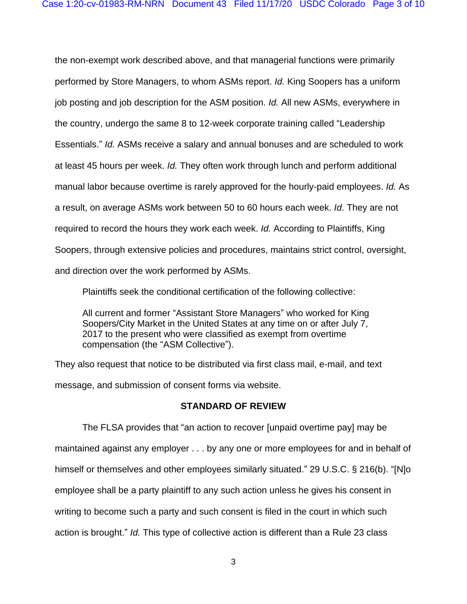the non-exempt work described above, and that managerial functions were primarily performed by Store Managers, to whom ASMs report. *Id.* King Soopers has a uniform job posting and job description for the ASM position. *Id.* All new ASMs, everywhere in the country, undergo the same 8 to 12-week corporate training called "Leadership Essentials." *Id.* ASMs receive a salary and annual bonuses and are scheduled to work at least 45 hours per week. *Id.* They often work through lunch and perform additional manual labor because overtime is rarely approved for the hourly-paid employees. *Id.* As a result, on average ASMs work between 50 to 60 hours each week. *Id*. They are not required to record the hours they work each week. *Id.* According to Plaintiffs, King Soopers, through extensive policies and procedures, maintains strict control, oversight, and direction over the work performed by ASMs.

Plaintiffs seek the conditional certification of the following collective:

All current and former "Assistant Store Managers" who worked for King Soopers/City Market in the United States at any time on or after July 7, 2017 to the present who were classified as exempt from overtime compensation (the "ASM Collective").

They also request that notice to be distributed via first class mail, e-mail, and text message, and submission of consent forms via website.

# **STANDARD OF REVIEW**

The FLSA provides that "an action to recover [unpaid overtime pay] may be maintained against any employer . . . by any one or more employees for and in behalf of himself or themselves and other employees similarly situated." 29 U.S.C. § 216(b). "[N]o employee shall be a party plaintiff to any such action unless he gives his consent in writing to become such a party and such consent is filed in the court in which such action is brought." *Id.* This type of collective action is different than a Rule 23 class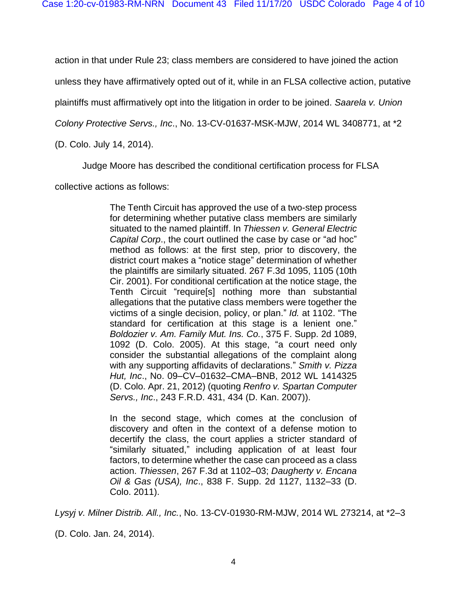action in that under Rule 23; class members are considered to have joined the action

unless they have affirmatively opted out of it, while in an FLSA collective action, putative

plaintiffs must affirmatively opt into the litigation in order to be joined. *Saarela v. Union* 

*Colony Protective Servs., Inc*., No. 13-CV-01637-MSK-MJW, 2014 WL 3408771, at \*2

(D. Colo. July 14, 2014).

Judge Moore has described the conditional certification process for FLSA

collective actions as follows:

The Tenth Circuit has approved the use of a two-step process for determining whether putative class members are similarly situated to the named plaintiff. In *Thiessen v. General Electric Capital Corp*., the court outlined the case by case or "ad hoc" method as follows: at the first step, prior to discovery, the district court makes a "notice stage" determination of whether the plaintiffs are similarly situated. 267 F.3d 1095, 1105 (10th Cir. 2001). For conditional certification at the notice stage, the Tenth Circuit "require[s] nothing more than substantial allegations that the putative class members were together the victims of a single decision, policy, or plan." *Id.* at 1102. "The standard for certification at this stage is a lenient one." *Boldozier v. Am. Family Mut. Ins. Co.*, 375 F. Supp. 2d 1089, 1092 (D. Colo. 2005). At this stage, "a court need only consider the substantial allegations of the complaint along with any supporting affidavits of declarations." *Smith v. Pizza Hut, Inc*., No. 09–CV–01632–CMA–BNB, 2012 WL 1414325 (D. Colo. Apr. 21, 2012) (quoting *Renfro v. Spartan Computer Servs., Inc*., 243 F.R.D. 431, 434 (D. Kan. 2007)).

In the second stage, which comes at the conclusion of discovery and often in the context of a defense motion to decertify the class, the court applies a stricter standard of "similarly situated," including application of at least four factors, to determine whether the case can proceed as a class action. *Thiessen*, 267 F.3d at 1102–03; *Daugherty v. Encana Oil & Gas (USA), Inc*., 838 F. Supp. 2d 1127, 1132–33 (D. Colo. 2011).

*Lysyj v. Milner Distrib. All., Inc.*, No. 13-CV-01930-RM-MJW, 2014 WL 273214, at \*2–3

(D. Colo. Jan. 24, 2014).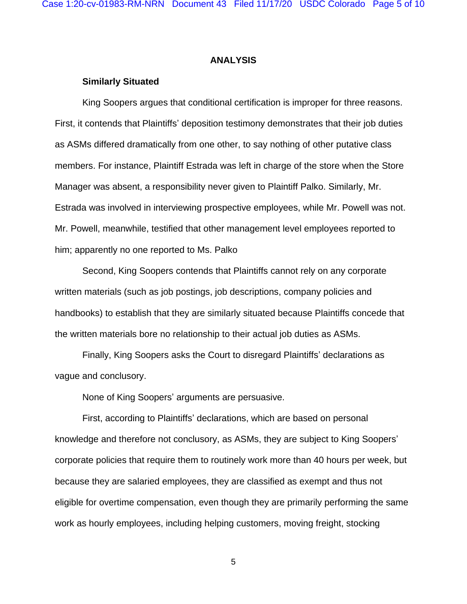### **ANALYSIS**

#### **Similarly Situated**

King Soopers argues that conditional certification is improper for three reasons. First, it contends that Plaintiffs' deposition testimony demonstrates that their job duties as ASMs differed dramatically from one other, to say nothing of other putative class members. For instance, Plaintiff Estrada was left in charge of the store when the Store Manager was absent, a responsibility never given to Plaintiff Palko. Similarly, Mr. Estrada was involved in interviewing prospective employees, while Mr. Powell was not. Mr. Powell, meanwhile, testified that other management level employees reported to him; apparently no one reported to Ms. Palko

Second, King Soopers contends that Plaintiffs cannot rely on any corporate written materials (such as job postings, job descriptions, company policies and handbooks) to establish that they are similarly situated because Plaintiffs concede that the written materials bore no relationship to their actual job duties as ASMs.

Finally, King Soopers asks the Court to disregard Plaintiffs' declarations as vague and conclusory.

None of King Soopers' arguments are persuasive.

First, according to Plaintiffs' declarations, which are based on personal knowledge and therefore not conclusory, as ASMs, they are subject to King Soopers' corporate policies that require them to routinely work more than 40 hours per week, but because they are salaried employees, they are classified as exempt and thus not eligible for overtime compensation, even though they are primarily performing the same work as hourly employees, including helping customers, moving freight, stocking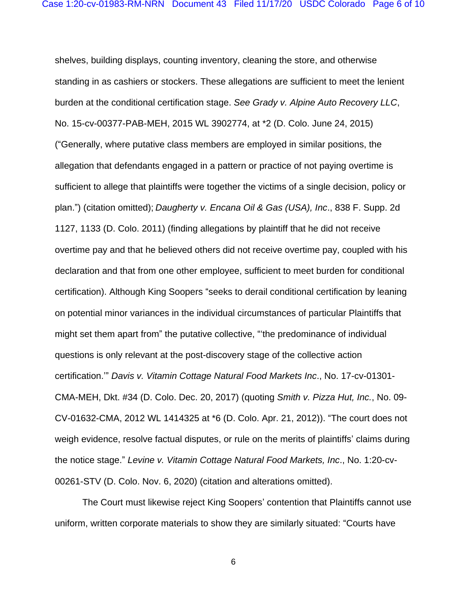shelves, building displays, counting inventory, cleaning the store, and otherwise standing in as cashiers or stockers. These allegations are sufficient to meet the lenient burden at the conditional certification stage. *See Grady v. Alpine Auto Recovery LLC*, No. 15-cv-00377-PAB-MEH, 2015 WL 3902774, at \*2 (D. Colo. June 24, 2015) ("Generally, where putative class members are employed in similar positions, the allegation that defendants engaged in a pattern or practice of not paying overtime is sufficient to allege that plaintiffs were together the victims of a single decision, policy or plan.") (citation omitted); *Daugherty v. Encana Oil & Gas (USA), Inc*., 838 F. Supp. 2d 1127, 1133 (D. Colo. 2011) (finding allegations by plaintiff that he did not receive overtime pay and that he believed others did not receive overtime pay, coupled with his declaration and that from one other employee, sufficient to meet burden for conditional certification). Although King Soopers "seeks to derail conditional certification by leaning on potential minor variances in the individual circumstances of particular Plaintiffs that might set them apart from" the putative collective, "'the predominance of individual questions is only relevant at the post-discovery stage of the collective action certification.'" *Davis v. Vitamin Cottage Natural Food Markets Inc*., No. 17-cv-01301- CMA-MEH, Dkt. #34 (D. Colo. Dec. 20, 2017) (quoting *Smith v. Pizza Hut, Inc.*, No. 09- CV-01632-CMA, 2012 WL 1414325 at \*6 (D. Colo. Apr. 21, 2012)). "The court does not weigh evidence, resolve factual disputes, or rule on the merits of plaintiffs' claims during the notice stage." *Levine v. Vitamin Cottage Natural Food Markets, Inc*., No. 1:20-cv-00261-STV (D. Colo. Nov. 6, 2020) (citation and alterations omitted).

The Court must likewise reject King Soopers' contention that Plaintiffs cannot use uniform, written corporate materials to show they are similarly situated: "Courts have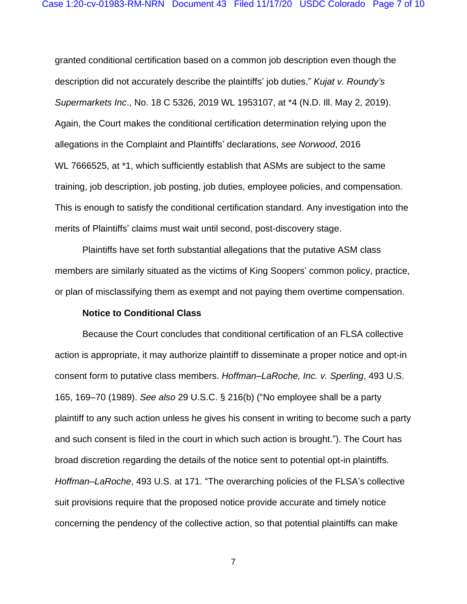granted conditional certification based on a common job description even though the description did not accurately describe the plaintiffs' job duties." *Kujat v. Roundy's Supermarkets Inc*., No. 18 C 5326, 2019 WL 1953107, at \*4 (N.D. Ill. May 2, 2019). Again, the Court makes the conditional certification determination relying upon the allegations in the Complaint and Plaintiffs' declarations, *see Norwood*, 2016 WL 7666525, at \*1, which sufficiently establish that ASMs are subject to the same training, job description, job posting, job duties, employee policies, and compensation. This is enough to satisfy the conditional certification standard. Any investigation into the merits of Plaintiffs' claims must wait until second, post-discovery stage.

Plaintiffs have set forth substantial allegations that the putative ASM class members are similarly situated as the victims of King Soopers' common policy, practice, or plan of misclassifying them as exempt and not paying them overtime compensation.

### **Notice to Conditional Class**

Because the Court concludes that conditional certification of an FLSA collective action is appropriate, it may authorize plaintiff to disseminate a proper notice and opt-in consent form to putative class members. *Hoffman–LaRoche, Inc. v. Sperling*, 493 U.S. 165, 169–70 (1989). *See also* 29 U.S.C. § 216(b) ("No employee shall be a party plaintiff to any such action unless he gives his consent in writing to become such a party and such consent is filed in the court in which such action is brought."). The Court has broad discretion regarding the details of the notice sent to potential opt-in plaintiffs. *Hoffman–LaRoche*, 493 U.S. at 171. "The overarching policies of the FLSA's collective suit provisions require that the proposed notice provide accurate and timely notice concerning the pendency of the collective action, so that potential plaintiffs can make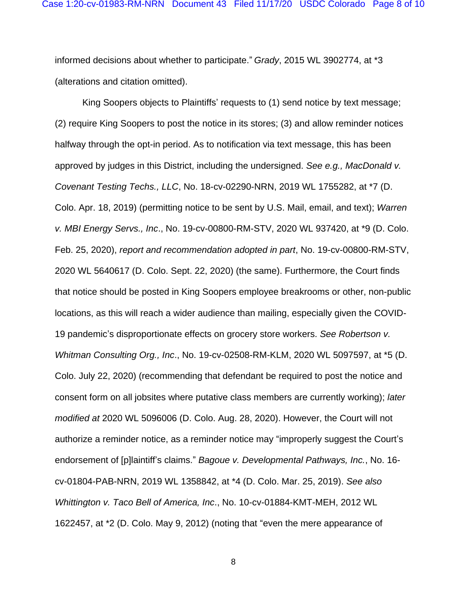informed decisions about whether to participate." *Grady*, 2015 WL 3902774, at \*3 (alterations and citation omitted).

King Soopers objects to Plaintiffs' requests to (1) send notice by text message; (2) require King Soopers to post the notice in its stores; (3) and allow reminder notices halfway through the opt-in period. As to notification via text message, this has been approved by judges in this District, including the undersigned. *See e.g., MacDonald v. Covenant Testing Techs., LLC*, No. 18-cv-02290-NRN, 2019 WL 1755282, at \*7 (D. Colo. Apr. 18, 2019) (permitting notice to be sent by U.S. Mail, email, and text); *Warren v. MBI Energy Servs., Inc*., No. 19-cv-00800-RM-STV, 2020 WL 937420, at \*9 (D. Colo. Feb. 25, 2020), *report and recommendation adopted in part*, No. 19-cv-00800-RM-STV, 2020 WL 5640617 (D. Colo. Sept. 22, 2020) (the same). Furthermore, the Court finds that notice should be posted in King Soopers employee breakrooms or other, non-public locations, as this will reach a wider audience than mailing, especially given the COVID-19 pandemic's disproportionate effects on grocery store workers. *See Robertson v. Whitman Consulting Org., Inc*., No. 19-cv-02508-RM-KLM, 2020 WL 5097597, at \*5 (D. Colo. July 22, 2020) (recommending that defendant be required to post the notice and consent form on all jobsites where putative class members are currently working); *later modified at* 2020 WL 5096006 (D. Colo. Aug. 28, 2020). However, the Court will not authorize a reminder notice, as a reminder notice may "improperly suggest the Court's endorsement of [p]laintiff's claims." *Bagoue v. Developmental Pathways, Inc.*, No. 16 cv-01804-PAB-NRN, 2019 WL 1358842, at \*4 (D. Colo. Mar. 25, 2019). *See also Whittington v. Taco Bell of America, Inc*., No. 10-cv-01884-KMT-MEH, 2012 WL 1622457, at \*2 (D. Colo. May 9, 2012) (noting that "even the mere appearance of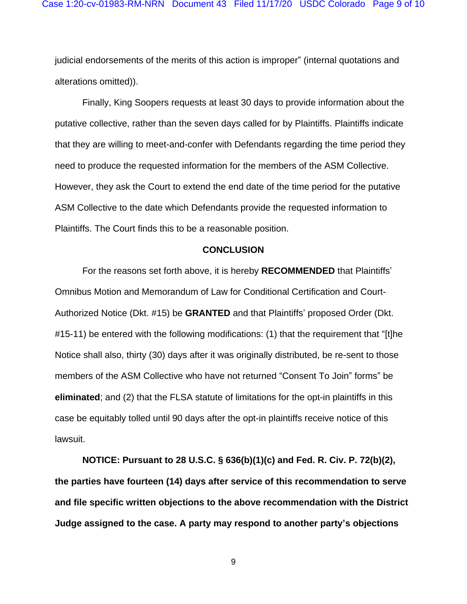judicial endorsements of the merits of this action is improper" (internal quotations and alterations omitted)).

Finally, King Soopers requests at least 30 days to provide information about the putative collective, rather than the seven days called for by Plaintiffs. Plaintiffs indicate that they are willing to meet-and-confer with Defendants regarding the time period they need to produce the requested information for the members of the ASM Collective. However, they ask the Court to extend the end date of the time period for the putative ASM Collective to the date which Defendants provide the requested information to Plaintiffs. The Court finds this to be a reasonable position.

#### **CONCLUSION**

For the reasons set forth above, it is hereby **RECOMMENDED** that Plaintiffs' Omnibus Motion and Memorandum of Law for Conditional Certification and Court-Authorized Notice (Dkt. #15) be **GRANTED** and that Plaintiffs' proposed Order (Dkt. #15-11) be entered with the following modifications: (1) that the requirement that "[t]he Notice shall also, thirty (30) days after it was originally distributed, be re-sent to those members of the ASM Collective who have not returned "Consent To Join" forms" be **eliminated**; and (2) that the FLSA statute of limitations for the opt-in plaintiffs in this case be equitably tolled until 90 days after the opt-in plaintiffs receive notice of this lawsuit.

**NOTICE: Pursuant to 28 U.S.C. § 636(b)(1)(c) and Fed. R. Civ. P. 72(b)(2), the parties have fourteen (14) days after service of this recommendation to serve and file specific written objections to the above recommendation with the District Judge assigned to the case. A party may respond to another party's objections**